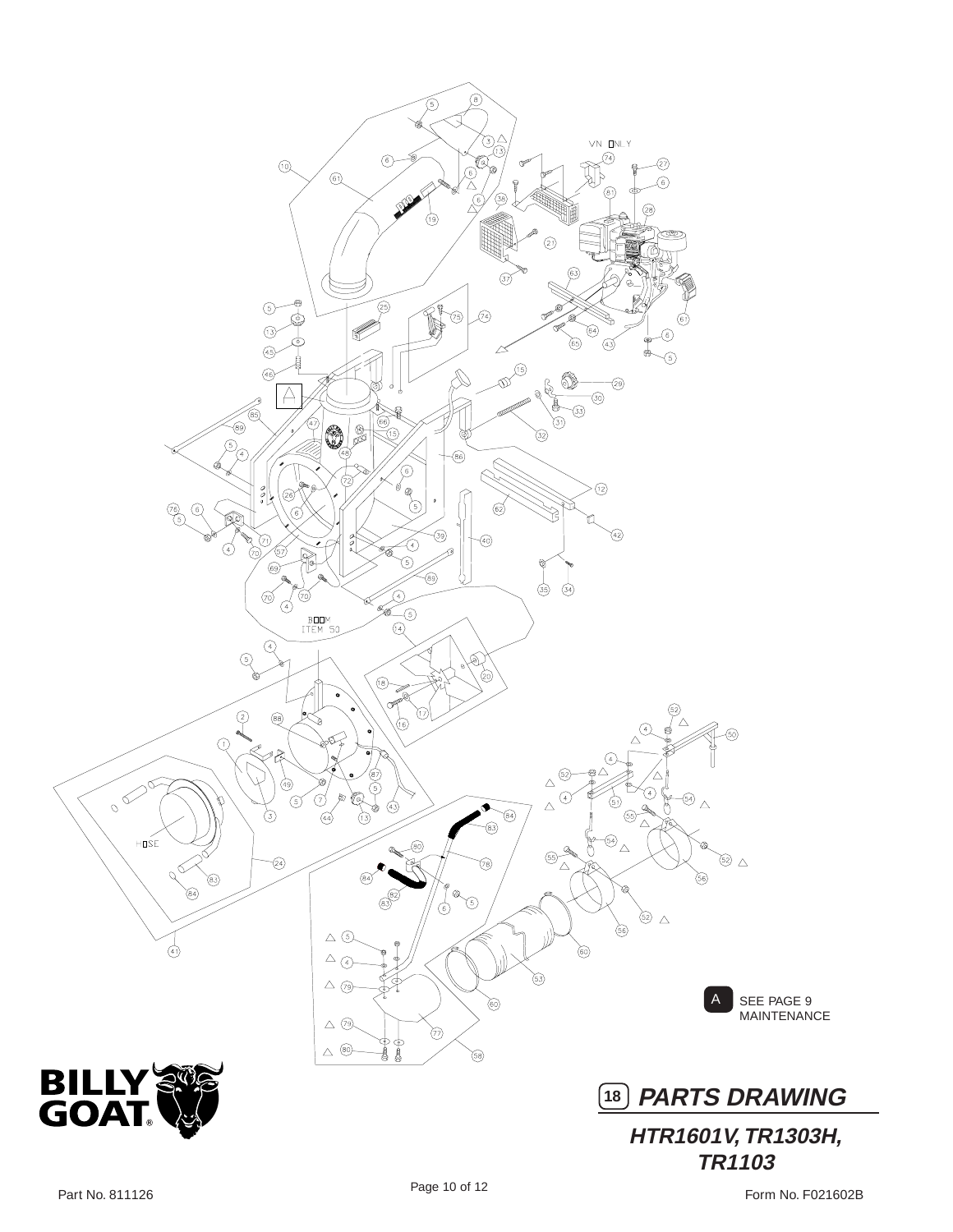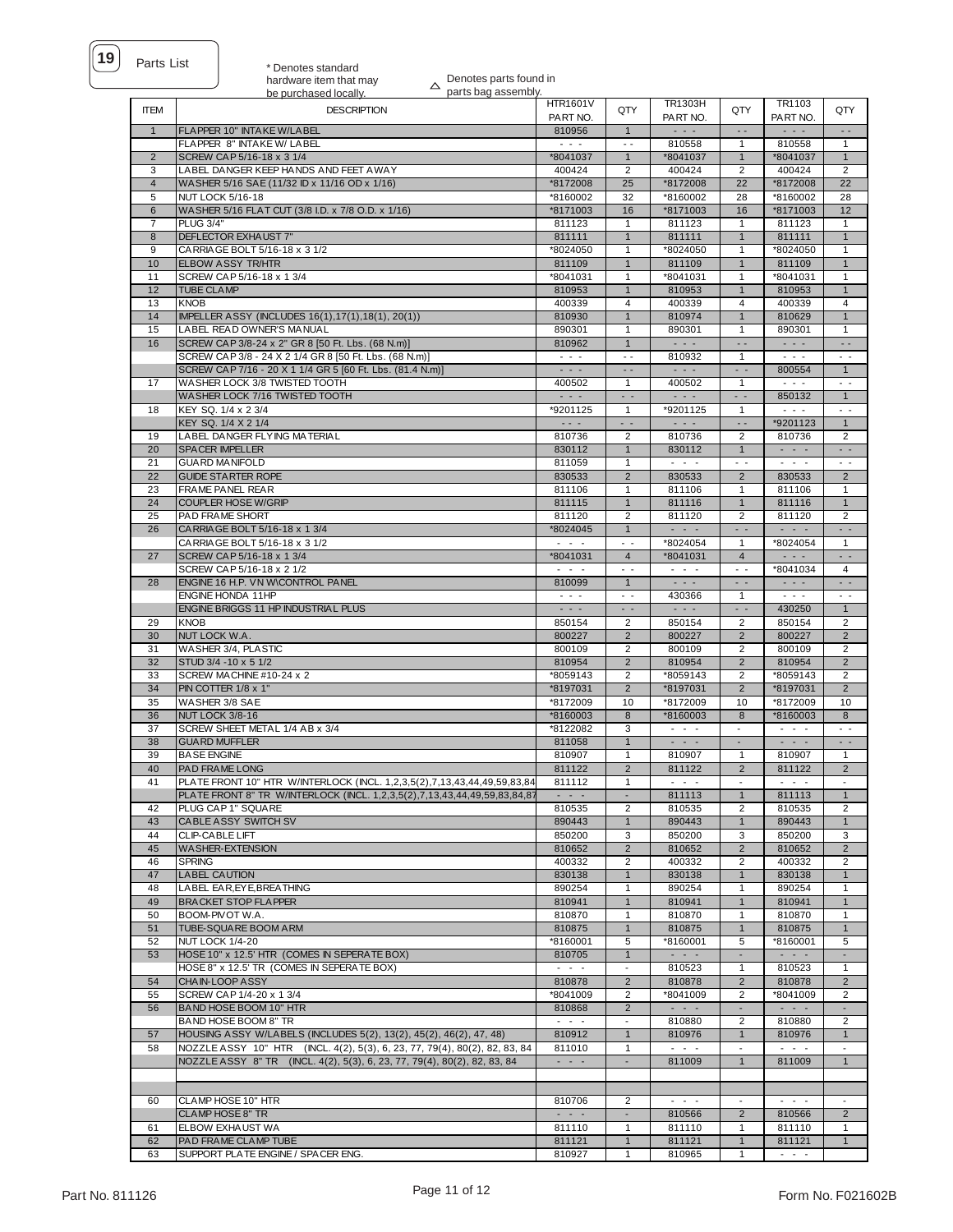| ts List |  |
|---------|--|
|         |  |

\* Denotes standard hardware item that may

Denotes parts found in

|                | $\overline{\phantom{a}}$<br>parts bag assembly.<br>be purchased locally.                                            |                                                                                                                           |                                                                                 |                                                                                                                           |                               |                                                           |                                      |
|----------------|---------------------------------------------------------------------------------------------------------------------|---------------------------------------------------------------------------------------------------------------------------|---------------------------------------------------------------------------------|---------------------------------------------------------------------------------------------------------------------------|-------------------------------|-----------------------------------------------------------|--------------------------------------|
| <b>ITEM</b>    | <b>DESCRIPTION</b>                                                                                                  | <b>HTR1601V</b>                                                                                                           | QTY                                                                             | TR1303H                                                                                                                   | QTY                           | TR1103                                                    | QTY                                  |
|                |                                                                                                                     | PART NO.                                                                                                                  |                                                                                 | PART NO.                                                                                                                  |                               | PART NO.                                                  |                                      |
| $\overline{1}$ | FLAPPER 10" INTAKE W/LABEL<br>FLAPPER 8" INTAKE W/ LABEL                                                            | 810956<br>$\sim$ $\sim$ $\sim$                                                                                            | $\overline{1}$<br>$\overline{\phantom{a}}$                                      | $\sim$ $\sim$ $\sim$<br>810558                                                                                            | $\sim$ $\sim$<br>1            | $\sim$ $\sim$ $\sim$<br>810558                            | $\sim$ $\sim$<br>$\mathbf{1}$        |
| $\overline{2}$ | SCREW CAP 5/16-18 x 3 1/4                                                                                           | *8041037                                                                                                                  | $\mathbf{1}$                                                                    | *8041037                                                                                                                  | $\mathbf{1}$                  | *8041037                                                  | $\mathbf{1}$                         |
| 3              | LABEL DANGER KEEP HANDS AND FEET AWAY                                                                               | 400424                                                                                                                    | 2                                                                               | 400424                                                                                                                    | 2                             | 400424                                                    | $\overline{2}$                       |
| $\overline{4}$ | WASHER 5/16 SAE (11/32 ID x 11/16 OD x 1/16)                                                                        | *8172008                                                                                                                  | 25                                                                              | *8172008                                                                                                                  | 22                            | *8172008                                                  | 22                                   |
| 5              | <b>NUT LOCK 5/16-18</b>                                                                                             | *8160002                                                                                                                  | 32                                                                              | *8160002                                                                                                                  | 28                            | *8160002                                                  | 28                                   |
| 6              | WASHER 5/16 FLAT CUT (3/8 I.D. x 7/8 O.D. x 1/16)                                                                   | *8171003                                                                                                                  | 16                                                                              | *8171003                                                                                                                  | 16                            | *8171003                                                  | 12                                   |
| $\overline{7}$ | <b>PLUG 3/4"</b>                                                                                                    | 811123                                                                                                                    | $\mathbf{1}$                                                                    | 811123                                                                                                                    | $\mathbf{1}$                  | 811123                                                    | $\mathbf{1}$                         |
| 8              | <b>DEFLECTOR EXHAUST 7"</b>                                                                                         | 811111                                                                                                                    | $\mathbf{1}$                                                                    | 811111                                                                                                                    | $\mathbf{1}$                  | 811111                                                    | $\mathbf{1}$                         |
| 9              | CARRIAGE BOLT 5/16-18 x 3 1/2                                                                                       | *8024050                                                                                                                  | $\mathbf{1}$                                                                    | *8024050                                                                                                                  | $\mathbf{1}$                  | *8024050                                                  | $\mathbf{1}$                         |
| 10             | ELBOW ASSY TR/HTR                                                                                                   | 811109                                                                                                                    | $\mathbf{1}$                                                                    | 811109                                                                                                                    | $\mathbf{1}$                  | 811109                                                    | $\mathbf{1}$                         |
| 11             | SCREW CAP 5/16-18 x 1 3/4                                                                                           | *8041031                                                                                                                  | $\mathbf{1}$                                                                    | *8041031                                                                                                                  | $\mathbf{1}$                  | *8041031                                                  | $\mathbf{1}$                         |
| 12             | <b>TUBE CLAMP</b>                                                                                                   | 810953                                                                                                                    | $\mathbf{1}$                                                                    | 810953                                                                                                                    | $\mathbf{1}$                  | 810953                                                    | $\mathbf{1}$                         |
| 13             | <b>KNOB</b>                                                                                                         | 400339                                                                                                                    | 4                                                                               | 400339                                                                                                                    | $\overline{4}$                | 400339                                                    | $\overline{4}$                       |
| 14             | IMPELLER ASSY (INCLUDES 16(1), 17(1), 18(1), 20(1))                                                                 | 810930                                                                                                                    | $\mathbf{1}$                                                                    | 810974                                                                                                                    | $\mathbf{1}$                  | 810629                                                    | $\mathbf{1}$                         |
| 15             | LABEL READ OWNER'S MANUAL                                                                                           | 890301                                                                                                                    | $\mathbf{1}$                                                                    | 890301                                                                                                                    | 1                             | 890301                                                    | 1                                    |
| 16             | SCREW CAP 3/8-24 x 2" GR 8 [50 Ft. Lbs. (68 N.m)]                                                                   | 810962<br>$ -$                                                                                                            | $\mathbf{1}$                                                                    | $\omega_{\rm{c}}$ and $\omega_{\rm{c}}$                                                                                   | $\overline{\phantom{a}}$      | $\omega_{\rm{c}}$ and $\omega_{\rm{c}}$                   | $\ddot{\phantom{0}}$                 |
|                | SCREW CAP 3/8 - 24 X 2 1/4 GR 8 [50 Ft. Lbs. (68 N.m)]<br>SCREW CAP 7/16 - 20 X 1 1/4 GR 5 [60 Ft. Lbs. (81.4 N.m)] | $\sim$ $\sim$ $\sim$                                                                                                      | $\overline{\phantom{a}}$<br>$\overline{\phantom{a}}$                            | 810932<br>$\sim$ $\sim$ $\sim$                                                                                            | $\mathbf{1}$<br>$\sim$ $\sim$ | $ -$<br>800554                                            | $\ddot{\phantom{0}}$<br>$\mathbf{1}$ |
| 17             | WA SHER LOCK 3/8 TWISTED TOOTH                                                                                      | 400502                                                                                                                    | $\mathbf{1}$                                                                    | 400502                                                                                                                    | $\mathbf{1}$                  | $\sim$ $\sim$ $\sim$                                      | $ -$                                 |
|                | WASHER LOCK 7/16 TWISTED TOOTH                                                                                      | $\frac{1}{2} \left( \frac{1}{2} \right) \left( \frac{1}{2} \right) \left( \frac{1}{2} \right)$                            | $\frac{1}{2} \left( \frac{1}{2} \right) \frac{1}{2} \left( \frac{1}{2} \right)$ | $\frac{1}{2} \left( \frac{1}{2} \right) \left( \frac{1}{2} \right) \left( \frac{1}{2} \right) \left( \frac{1}{2} \right)$ | $\sim$ $\sim$                 | 850132                                                    | $\mathbf{1}$                         |
| 18             | KEY SQ. 1/4 x 2 3/4                                                                                                 | *9201125                                                                                                                  | $\mathbf{1}$                                                                    | *9201125                                                                                                                  | $\mathbf{1}$                  | $\sim$ $\sim$ $\sim$                                      | $\sim$ $\sim$                        |
|                | KEY SQ. 1/4 X 2 1/4                                                                                                 | $\sim$ $\sim$ $\sim$                                                                                                      | $\sim$                                                                          | $\sim$ $\sim$ $\sim$                                                                                                      | $\overline{\phantom{a}}$      | *9201123                                                  | $\mathbf{1}$                         |
| 19             | LABEL DANGER FLYING MATERIAL                                                                                        | 810736                                                                                                                    | 2                                                                               | 810736                                                                                                                    | 2                             | 810736                                                    | 2                                    |
| 20             | <b>SPACER IMPELLER</b>                                                                                              | 830112                                                                                                                    | $\mathbf{1}$                                                                    | 830112                                                                                                                    | $\mathbf{1}$                  | $\omega_{\rm{max}}$ .                                     | $\sim$ $\sim$                        |
| 21             | <b>GUARD MANIFOLD</b>                                                                                               | 811059                                                                                                                    | $\mathbf{1}$                                                                    | $\omega_{\rm{c}}$ , $\omega_{\rm{c}}$ , $\omega_{\rm{c}}$                                                                 | $\sim$ $\sim$                 | $\omega_{\rm{c}}$ , $\omega_{\rm{c}}$ , $\omega_{\rm{c}}$ | $\sim$ $\sim$                        |
| 22             | <b>GUIDE STARTER ROPE</b>                                                                                           | 830533                                                                                                                    | $\overline{2}$                                                                  | 830533                                                                                                                    | $\overline{2}$                | 830533                                                    | $\overline{2}$                       |
| 23             | <b>FRAME PANEL REAR</b>                                                                                             | 811106                                                                                                                    | $\mathbf{1}$                                                                    | 811106                                                                                                                    | 1                             | 811106                                                    | $\mathbf{1}$                         |
| 24             | <b>COUPLER HOSE W/GRIP</b>                                                                                          | 811115                                                                                                                    | $\mathbf{1}$                                                                    | 811116                                                                                                                    | $\mathbf{1}$                  | 811116                                                    | $\mathbf{1}$                         |
| 25             | PAD FRAME SHORT                                                                                                     | 811120                                                                                                                    | $\overline{c}$                                                                  | 811120                                                                                                                    | $\overline{c}$                | 811120                                                    | 2                                    |
| 26             | CARRIAGE BOLT 5/16-18 x 1 3/4                                                                                       | *8024045                                                                                                                  | $\mathbf{1}$                                                                    | $\sim$ $\sim$ $\sim$                                                                                                      | $\sim$ $\sim$                 | $\sim$ $\sim$ $\sim$                                      | $\sim$ $\sim$                        |
|                | CARRIAGE BOLT 5/16-18 x 3 1/2                                                                                       | $\frac{1}{2} \left( \frac{1}{2} \right) \left( \frac{1}{2} \right) \left( \frac{1}{2} \right) \left( \frac{1}{2} \right)$ | . .                                                                             | *8024054                                                                                                                  | 1                             | *8024054                                                  | 1                                    |
| 27             | SCREW CAP 5/16-18 x 1 3/4                                                                                           | *8041031                                                                                                                  | $\overline{4}$                                                                  | *8041031                                                                                                                  | $\overline{4}$                | $\sim$ $\sim$ $\sim$                                      | $\overline{a}$                       |
|                | SCREW CAP 5/16-18 x 2 1/2                                                                                           | $\omega_{\rm{c}}$ , $\omega_{\rm{c}}$ , $\omega_{\rm{c}}$                                                                 | $\sim$ $\sim$                                                                   | $\omega_{\rm{max}}$ and $\omega_{\rm{max}}$                                                                               | $\sim$ $\sim$                 | *8041034                                                  | $\overline{4}$                       |
| 28             | ENGINE 16 H.P. VN W\CONTROL PANEL                                                                                   | 810099                                                                                                                    | $\mathbf{1}$                                                                    | $\sim$ $\sim$ $\sim$                                                                                                      | $\sim$ $\sim$                 | $\sim$ $\sim$ $\sim$                                      | $ -$                                 |
|                | ENGINE HONDA 11HP                                                                                                   | $\frac{1}{2} \left( \frac{1}{2} \right) \left( \frac{1}{2} \right) \left( \frac{1}{2} \right) \left( \frac{1}{2} \right)$ | $\sim$ $\sim$                                                                   | 430366                                                                                                                    | $\mathbf{1}$                  | $\sim$ $\sim$ $\sim$                                      | $\sim$ $\sim$                        |
| 29             | ENGINE BRIGGS 11 HP INDUSTRIAL PLUS                                                                                 | $\sim$ $\sim$ $\sim$                                                                                                      | $\sim$                                                                          | $\sim$ $\sim$ $\sim$                                                                                                      | $\sim$ $\sim$                 | 430250                                                    | $\mathbf{1}$                         |
| 30             | <b>KNOB</b><br>NUT LOCK W.A.                                                                                        | 850154<br>800227                                                                                                          | 2<br>$\overline{2}$                                                             | 850154<br>800227                                                                                                          | 2<br>$\overline{2}$           | 850154<br>800227                                          | 2<br>$\overline{2}$                  |
| 31             | WASHER 3/4, PLASTIC                                                                                                 | 800109                                                                                                                    | $\overline{2}$                                                                  | 800109                                                                                                                    | 2                             | 800109                                                    | $\overline{2}$                       |
| 32             | STUD 3/4 - 10 x 5 1/2                                                                                               | 810954                                                                                                                    | $\overline{2}$                                                                  | 810954                                                                                                                    | $\overline{2}$                | 810954                                                    | $\overline{2}$                       |
| 33             | SCREW MACHINE #10-24 x 2                                                                                            | *8059143                                                                                                                  | 2                                                                               | *8059143                                                                                                                  | 2                             | *8059143                                                  | 2                                    |
| 34             | PIN COTTER 1/8 x 1"                                                                                                 | *8197031                                                                                                                  | $\overline{2}$                                                                  | *8197031                                                                                                                  | $\overline{2}$                | *8197031                                                  | $\overline{2}$                       |
| 35             | WASHER 3/8 SAE                                                                                                      | *8172009                                                                                                                  | 10                                                                              | *8172009                                                                                                                  | 10                            | *8172009                                                  | 10                                   |
| 36             | NUT LOCK 3/8-16                                                                                                     | *8160003                                                                                                                  | 8                                                                               | *8160003                                                                                                                  | $\bf 8$                       | *8160003                                                  | 8                                    |
| 37             | SCREW SHEET METAL 1/4 AB x 3/4                                                                                      | *8122082                                                                                                                  | 3                                                                               | $\sim$ $\sim$ $\sim$                                                                                                      | $\overline{\phantom{a}}$      | $\sim$ $ \sim$                                            | $ -$                                 |
| 38             | <b>GUARD MUFFLER</b>                                                                                                | 811058                                                                                                                    | $\mathbf{1}$                                                                    | $\sim$ 100 $\sim$                                                                                                         | $\overline{\phantom{a}}$      | $\sim$ 100 $\sim$                                         | $\sim$ $\sim$                        |
| 39             | <b>BASE ENGINE</b>                                                                                                  | 810907                                                                                                                    | $\mathbf{1}$                                                                    | 810907                                                                                                                    | 1                             | 810907                                                    | 1                                    |
| 40             | PAD FRAME LONG                                                                                                      | 811122                                                                                                                    | $\overline{2}$                                                                  | 811122                                                                                                                    | $\overline{2}$                | 811122                                                    | $\overline{2}$                       |
| 41             | PLATE FRONT 10" HTR W/INTERLOCK (INCL. 1,2,3,5(2),7,13,43,44,49,59,83,84                                            | 811112                                                                                                                    | $\mathbf{1}$                                                                    | $\sigma_{\rm{eff}}$ , $\sigma_{\rm{eff}}$ , $\sigma_{\rm{eff}}$                                                           | $\sim$                        | $\sim$ 100 $\sim$                                         | $\sim$                               |
|                | PLATE FRONT 8" TR W/INTERLOCK (INCL. 1,2,3,5(2),7,13,43,44,49,59,83,84,87                                           | $\omega_{\rm{c}}$ , $\omega_{\rm{c}}$ , $\omega_{\rm{c}}$                                                                 | $\blacksquare$                                                                  | 811113                                                                                                                    | $\mathbf{1}$                  | 811113                                                    | $\mathbf{1}$                         |
| 42             | PLUG CAP 1" SQUARE                                                                                                  | 810535                                                                                                                    | $\overline{2}$                                                                  | 810535                                                                                                                    | $\overline{2}$                | 810535                                                    | 2                                    |
| 43             | <b>CABLE ASSY SWITCH SV</b>                                                                                         | 890443                                                                                                                    | $\mathbf{1}$                                                                    | 890443                                                                                                                    | $\mathbf{1}$                  | 890443                                                    | $\mathbf{1}$                         |
| 44             | CLIP-CABLE LIFT<br><b>WA SHER-EXTENSION</b>                                                                         | 850200                                                                                                                    | 3                                                                               | 850200<br>810652                                                                                                          | 3                             | 850200                                                    | 3                                    |
| 45<br>46       |                                                                                                                     |                                                                                                                           |                                                                                 |                                                                                                                           | $\overline{2}$                | 810652                                                    | $\overline{2}$                       |
|                |                                                                                                                     | 810652                                                                                                                    | $\overline{2}$                                                                  |                                                                                                                           |                               |                                                           |                                      |
|                | <b>SPRING</b>                                                                                                       | 400332                                                                                                                    | $\overline{2}$                                                                  | 400332                                                                                                                    | 2                             | 400332                                                    | $\overline{2}$                       |
| 47             | <b>LABEL CAUTION</b>                                                                                                | 830138                                                                                                                    | $\mathbf{1}$                                                                    | 830138                                                                                                                    | $\mathbf{1}$                  | 830138                                                    | 1                                    |
| 48             | LABEL EAR, EYE, BREATHING                                                                                           | 890254                                                                                                                    | $\mathbf{1}$                                                                    | 890254                                                                                                                    | $\mathbf{1}$                  | 890254                                                    | $\mathbf{1}$                         |
| 49             | <b>BRACKET STOP FLAPPER</b>                                                                                         | 810941                                                                                                                    | $\mathbf{1}$                                                                    | 810941                                                                                                                    | $\mathbf{1}$                  | 810941                                                    | $\mathbf{1}$                         |
| 50             | BOOM-PIVOT W.A.                                                                                                     | 810870                                                                                                                    | $\mathbf{1}$<br>$\mathbf{1}$                                                    | 810870                                                                                                                    | $\mathbf{1}$<br>$\mathbf{1}$  | 810870                                                    | $\mathbf{1}$<br>$\mathbf{1}$         |
| 51<br>52       | TUBE-SQUARE BOOM ARM<br><b>NUT LOCK 1/4-20</b>                                                                      | 810875<br>*8160001                                                                                                        | 5                                                                               | 810875<br>*8160001                                                                                                        | 5                             | 810875<br>*8160001                                        | 5                                    |
| 53             | HOSE 10" x 12.5' HTR (COMES IN SEPERATE BOX)                                                                        | 810705                                                                                                                    | $\mathbf{1}$                                                                    | $\sim$ $\sim$ $\sim$                                                                                                      |                               | $\sim$ $\sim$ $\sim$                                      |                                      |
|                | HOSE 8" x 12.5' TR (COMES IN SEPERATE BOX)                                                                          | $\omega_{\rm{c}}$ , $\omega_{\rm{c}}$ , $\omega_{\rm{c}}$                                                                 | $\overline{\phantom{a}}$                                                        | 810523                                                                                                                    | $\mathbf{1}$                  | 810523                                                    | $\mathbf{1}$                         |
| 54             | CHAIN-LOOP ASSY                                                                                                     | 810878                                                                                                                    | $\overline{2}$                                                                  | 810878                                                                                                                    | $\overline{2}$                | 810878                                                    | $\overline{2}$                       |
| 55             | SCREW CAP 1/4-20 x 1 3/4                                                                                            | *8041009                                                                                                                  | $\overline{2}$                                                                  | *8041009                                                                                                                  | 2                             | *8041009                                                  | $\overline{2}$                       |
| 56             | BAND HOSE BOOM 10" HTR                                                                                              | 810868                                                                                                                    | $\overline{a}$                                                                  | $\sim$ $\sim$ $\sim$                                                                                                      | $\blacksquare$                | $\sim$ $\sim$ $\sim$                                      | $\sim$                               |
|                | BAND HOSE BOOM 8" TR                                                                                                | $\omega_{\rm{c}}$ , $\omega_{\rm{c}}$ , $\omega_{\rm{c}}$                                                                 | $\overline{\phantom{a}}$                                                        | 810880                                                                                                                    | 2                             | 810880                                                    | 2                                    |
| 57             | HOUSING ASSY W/LABELS (INCLUDES 5(2), 13(2), 45(2), 46(2), 47, 48)                                                  | 810912                                                                                                                    | $\mathbf{1}$                                                                    | 810976                                                                                                                    | $\mathbf{1}$                  | 810976                                                    | 1                                    |
| 58             | NOZZLE ASSY 10" HTR (INCL. 4(2), 5(3), 6, 23, 77, 79(4), 80(2), 82, 83, 84                                          | 811010                                                                                                                    | $\mathbf{1}$                                                                    | $\sim$ 100 $\sim$                                                                                                         |                               | $\sim$ - $\sim$                                           |                                      |
|                | NOZZLE ASSY 8" TR (INCL. 4(2), 5(3), 6, 23, 77, 79(4), 80(2), 82, 83, 84                                            | $\sim$ $\sim$ $\sim$                                                                                                      | $\blacksquare$                                                                  | 811009                                                                                                                    | 1                             | 811009                                                    | 1                                    |
|                |                                                                                                                     |                                                                                                                           |                                                                                 |                                                                                                                           |                               |                                                           |                                      |
|                |                                                                                                                     |                                                                                                                           |                                                                                 |                                                                                                                           |                               |                                                           |                                      |
| 60             | CLAMP HOSE 10" HTR                                                                                                  | 810706                                                                                                                    | $\overline{2}$                                                                  | $\sim$ $\sim$ $\sim$                                                                                                      | $\overline{\phantom{a}}$      | $\sim$ $\sim$ $\sim$                                      | $\overline{\phantom{a}}$             |
|                | <b>CLAMP HOSE 8" TR</b>                                                                                             | $\sim$ $\sim$ $\sim$                                                                                                      |                                                                                 | 810566                                                                                                                    | $\overline{2}$                | 810566                                                    | $\overline{2}$                       |
| 61<br>62       | ELBOW EXHAUST WA<br>PAD FRAME CLAMP TUBE                                                                            | 811110<br>811121                                                                                                          | $\mathbf{1}$<br>1                                                               | 811110<br>811121                                                                                                          | $\mathbf{1}$<br>$\mathbf{1}$  | 811110<br>811121                                          | $\mathbf{1}$<br>1                    |